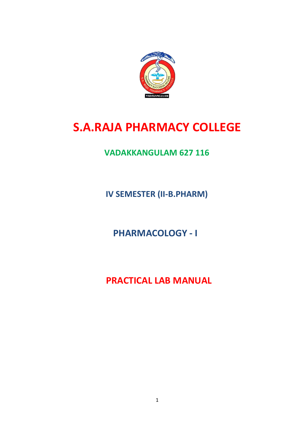

# **S.A.RAJA PHARMACY COLLEGE**

# **VADAKKANGULAM 627 116**

**IV SEMESTER (II-B.PHARM)**

**PHARMACOLOGY - I**

 **PRACTICAL LAB MANUAL**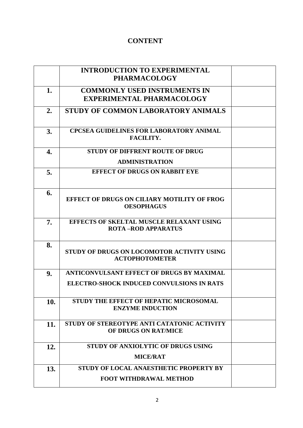# **CONTENT**

|     | <b>INTRODUCTION TO EXPERIMENTAL</b><br><b>PHARMACOLOGY</b>                    |  |
|-----|-------------------------------------------------------------------------------|--|
| 1.  | <b>COMMONLY USED INSTRUMENTS IN</b><br><b>EXPERIMENTAL PHARMACOLOGY</b>       |  |
| 2.  | STUDY OF COMMON LABORATORY ANIMALS                                            |  |
| 3.  | <b>CPCSEA GUIDELINES FOR LABORATORY ANIMAL</b><br>FACILITY.                   |  |
| 4.  | <b>STUDY OF DIFFRENT ROUTE OF DRUG</b>                                        |  |
|     | <b>ADMINISTRATION</b>                                                         |  |
| 5.  | <b>EFFECT OF DRUGS ON RABBIT EYE</b>                                          |  |
| 6.  | <b>EFFECT OF DRUGS ON CILIARY MOTILITY OF FROG</b><br><b>OESOPHAGUS</b>       |  |
| 7.  | <b>EFFECTS OF SKELTAL MUSCLE RELAXANT USING</b><br><b>ROTA -ROD APPARATUS</b> |  |
| 8.  | STUDY OF DRUGS ON LOCOMOTOR ACTIVITY USING<br><b>ACTOPHOTOMETER</b>           |  |
| 9.  | ANTICONVULSANT EFFECT OF DRUGS BY MAXIMAL                                     |  |
|     | ELECTRO-SHOCK INDUCED CONVULSIONS IN RATS                                     |  |
| 10. | STUDY THE EFFECT OF HEPATIC MICROSOMAL<br><b>ENZYME INDUCTION</b>             |  |
| 11. | STUDY OF STEREOTYPE ANTI CATATONIC ACTIVITY<br>OF DRUGS ON RAT/MICE           |  |
| 12. | STUDY OF ANXIOLYTIC OF DRUGS USING                                            |  |
|     | <b>MICE/RAT</b>                                                               |  |
| 13. | STUDY OF LOCAL ANAESTHETIC PROPERTY BY                                        |  |
|     | <b>FOOT WITHDRAWAL METHOD</b>                                                 |  |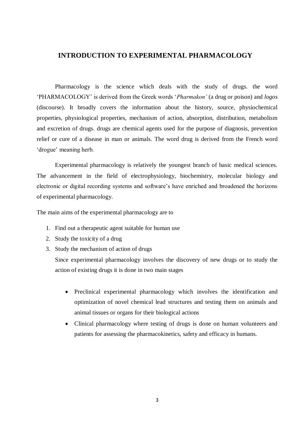# **INTRODUCTION TO EXPERIMENTAL PHARMACOLOGY**

Pharmacology is the science which deals with the study of drugs. the word 'PHARMACOLOGY' is derived from the Greek words '*Pharmakon'* (a drug or poison) and *logos*  (discourse). It broadly covers the information about the history, source, physiochemical properties, physiological properties, mechanism of action, absorption, distribution, metabolism and excretion of drugs. drugs are chemical agents used for the purpose of diagnosis, prevention relief or cure of a disease in man or animals. The word drug is derived from the French word 'drogue' meaning herb.

Experimental pharmacology is relatively the youngest branch of basic medical sciences. The advancement in the field of electrophysiology, biochemistry, molecular biology and electronic or digital recording systems and software's have enriched and broadened the horizons of experimental pharmacology.

The main aims of the experimental pharmacology are to

- 1. Find out a therapeutic agent suitable for human use
- 2. Study the toxicity of a drug
- 3. Study the mechanism of action of drugs

Since experimental pharmacology involves the discovery of new drugs or to study the action of existing drugs it is done in two main stages

- Preclinical experimental pharmacology which involves the identification and optimization of novel chemical lead structures and testing them on animals and animal tissues or organs for their biological actions
- Clinical pharmacology where testing of drugs is done on human volunteers and patients for assessing the pharmacokinetics, safety and efficacy in humans.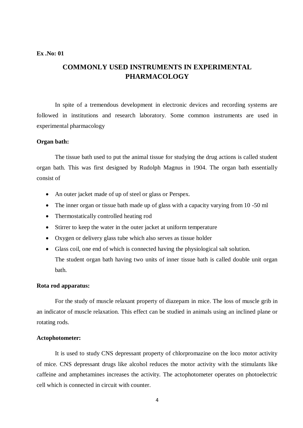# **COMMONLY USED INSTRUMENTS IN EXPERIMENTAL PHARMACOLOGY**

In spite of a tremendous development in electronic devices and recording systems are followed in institutions and research laboratory. Some common instruments are used in experimental pharmacology

# **Organ bath:**

The tissue bath used to put the animal tissue for studying the drug actions is called student organ bath. This was first designed by Rudolph Magnus in 1904. The organ bath essentially consist of

- An outer jacket made of up of steel or glass or Perspex.
- The inner organ or tissue bath made up of glass with a capacity varying from 10 -50 ml
- Thermostatically controlled heating rod
- Stirrer to keep the water in the outer jacket at uniform temperature
- Oxygen or delivery glass tube which also serves as tissue holder
- Glass coil, one end of which is connected having the physiological salt solution. The student organ bath having two units of inner tissue bath is called double unit organ bath.

#### **Rota rod apparatus:**

For the study of muscle relaxant property of diazepam in mice. The loss of muscle grib in an indicator of muscle relaxation. This effect can be studied in animals using an inclined plane or rotating rods.

#### **Actophotometer:**

It is used to study CNS depressant property of chlorpromazine on the loco motor activity of mice. CNS depressant drugs like alcohol reduces the motor activity with the stimulants like caffeine and amphetamines increases the activity. The actophotometer operates on photoelectric cell which is connected in circuit with counter.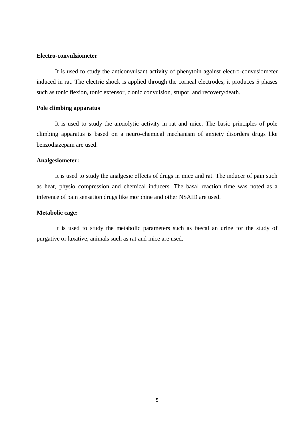#### **Electro-convulsiometer**

It is used to study the anticonvulsant activity of phenytoin against electro-convusiometer induced in rat. The electric shock is applied through the corneal electrodes; it produces 5 phases such as tonic flexion, tonic extensor, clonic convulsion, stupor, and recovery/death.

# **Pole climbing apparatus**

It is used to study the anxiolytic activity in rat and mice. The basic principles of pole climbing apparatus is based on a neuro-chemical mechanism of anxiety disorders drugs like benzodiazepam are used.

# **Analgesiometer:**

It is used to study the analgesic effects of drugs in mice and rat. The inducer of pain such as heat, physio compression and chemical inducers. The basal reaction time was noted as a inference of pain sensation drugs like morphine and other NSAID are used.

#### **Metabolic cage:**

It is used to study the metabolic parameters such as faecal an urine for the study of purgative or laxative, animals such as rat and mice are used.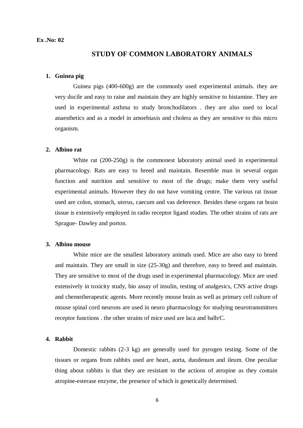# **STUDY OF COMMON LABORATORY ANIMALS**

# **1. Guinea pig**

Guinea pigs (400-600g) are the commonly used experimental animals. they are very docile and easy to raise and maintain they are highly sensitive to histamine. They are used in experimental asthma to study bronchodilators . they are also used to local anaesthetics and as a model in amoebiasis and cholera as they are sensitive to this micro organism.

# **2. Albino rat**

White rat (200-250g) is the commonest laboratory animal used in experimental pharmacology. Rats are easy to breed and maintain. Resemble man in several organ function and nutrition and sensitive to most of the drugs; make them very useful experimental animals. However they do not have vomiting centre. The various rat tissue used are colon, stomach, uterus, caecum and vas deference. Besides these organs rat brain tissue is extensively employed in radio receptor ligand studies. The other strains of rats are Sprague- Dawley and porton.

#### **3. Albino mouse**

White mice are the smallest laboratory animals used. Mice are also easy to breed and maintain. They are small in size (25-30g) and therefore, easy to breed and maintain. They are sensitive to most of the drugs used in experimental pharmacology. Mice are used extensively in toxicity study, bio assay of insulin, testing of analgesics, CNS active drugs and chemotherapeutic agents. More recently mouse brain as well as primary cell culture of mouse spinal cord neurons are used in neuro pharmacology for studying neurotransmitters receptor functions . the other strains of mice used are laca and balb/C.

# **4. Rabbit**

Domestic rabbits (2-3 kg) are generally used for pyrogen testing. Some of the tissues or organs from rabbits used are heart, aorta, duodenum and ileum. One peculiar thing about rabbits is that they are resistant to the actions of atropine as they contain atropine-esterase enzyme, the presence of which is genetically determined.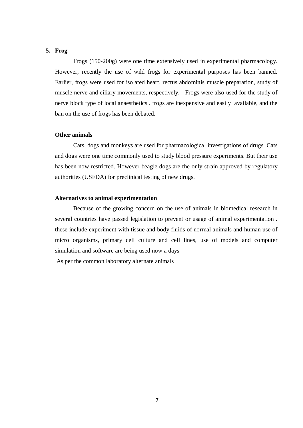## **5. Frog**

Frogs (150-200g) were one time extensively used in experimental pharmacology. However, recently the use of wild frogs for experimental purposes has been banned. Earlier, frogs were used for isolated heart, rectus abdominis muscle preparation, study of muscle nerve and ciliary movements, respectively. Frogs were also used for the study of nerve block type of local anaesthetics . frogs are inexpensive and easily available, and the ban on the use of frogs has been debated.

#### **Other animals**

Cats, dogs and monkeys are used for pharmacological investigations of drugs. Cats and dogs were one time commonly used to study blood pressure experiments. But their use has been now restricted. However beagle dogs are the only strain approved by regulatory authorities (USFDA) for preclinical testing of new drugs.

#### **Alternatives to animal experimentation**

Because of the growing concern on the use of animals in biomedical research in several countries have passed legislation to prevent or usage of animal experimentation . these include experiment with tissue and body fluids of normal animals and human use of micro organisms, primary cell culture and cell lines, use of models and computer simulation and software are being used now a days

As per the common laboratory alternate animals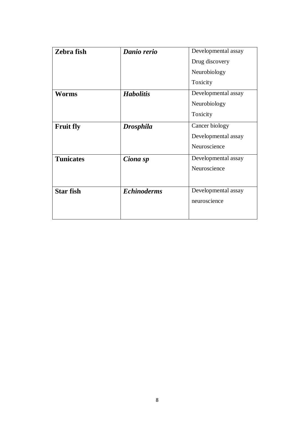| Zebra fish       | Danio rerio        | Developmental assay |
|------------------|--------------------|---------------------|
|                  |                    | Drug discovery      |
|                  |                    | Neurobiology        |
|                  |                    | Toxicity            |
| Worms            | <b>Habolitis</b>   | Developmental assay |
|                  |                    | Neurobiology        |
|                  |                    | Toxicity            |
| <b>Fruit fly</b> | <b>Drosphila</b>   | Cancer biology      |
|                  |                    | Developmental assay |
|                  |                    | Neuroscience        |
| <b>Tunicates</b> | Ciona sp           | Developmental assay |
|                  |                    | Neuroscience        |
|                  |                    |                     |
| <b>Star fish</b> | <b>Echinoderms</b> | Developmental assay |
|                  |                    | neuroscience        |
|                  |                    |                     |
|                  |                    |                     |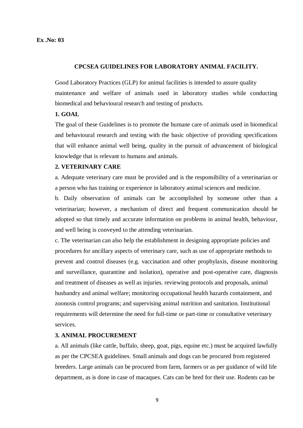#### **CPCSEA GUIDELINES FOR LABORATORY ANIMAL FACILITY.**

Good Laboratory Practices (GLP) for animal facilities is intended to assure quality maintenance and welfare of animals used in laboratory studies while conducting biomedical and behavioural research and testing of products.

## **1. GOAL**

The goal of these Guidelines is to promote the humane care of animals used in biomedical and behavioural research and testing with the basic objective of providing specifications that will enhance animal well being, quality in the pursuit of advancement of biological knowledge that is relevant to humans and animals.

#### **2. VETERINARY CARE**

a. Adequate veterinary care must be provided and is the responsibility of a veterinarian or a person who has training or experience in laboratory animal sciences and medicine.

b. Daily observation of animals can be accomplished by someone other than a veterinarian; however, a mechanism of direct and frequent communication should be adopted so that timely and accurate information on problems in animal health, behaviour, and well being is conveyed to the attending veterinarian.

c. The veterinarian can also help the establishment in designing appropriate policies and procedures for ancillary aspects of veterinary care, such as use of appropriate methods to prevent and control diseases (e.g. vaccination and other prophylaxis, disease monitoring and surveillance, quarantine and isolation), operative and post-operative care, diagnosis and treatment of diseases as well as injuries. reviewing protocols and proposals, animal husbandry and animal welfare; monitoring occupational health hazards containment, and zoonosis control programs; and supervising animal nutrition and sanitation. Institutional requirements will determine the need for full-time or part-time or consultative veterinary services.

#### **3. ANIMAL PROCUREMENT**

a. All animals (like cattle, buffalo, sheep, goat, pigs, equine etc.) must be acquired lawfully as per the CPCSEA guidelines. Small animals and dogs can be procured from registered breeders. Large animals can be procured from farm, farmers or as per guidance of wild life department, as is done in case of macaques. Cats can be bred for their use. Rodents can be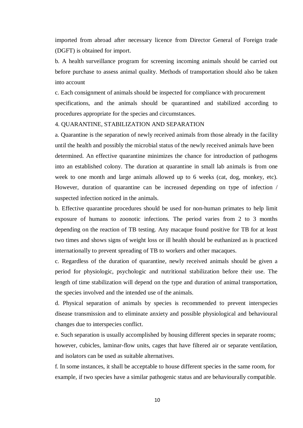imported from abroad after necessary licence from Director General of Foreign trade (DGFT) is obtained for import.

b. A health surveillance program for screening incoming animals should be carried out before purchase to assess animal quality. Methods of transportation should also be taken into account

c. Each consignment of animals should be inspected for compliance with procurement specifications, and the animals should be quarantined and stabilized according to procedures appropriate for the species and circumstances.

#### 4. QUARANTINE, STABILIZATION AND SEPARATION

a. Quarantine is the separation of newly received animals from those already in the facility until the health and possibly the microbial status of the newly received animals have been determined. An effective quarantine minimizes the chance for introduction of pathogens into an established colony. The duration at quarantine in small lab animals is from one week to one month and large animals allowed up to 6 weeks (cat, dog, monkey, etc). However, duration of quarantine can be increased depending on type of infection / suspected infection noticed in the animals.

b. Effective quarantine procedures should be used for non-human primates to help limit exposure of humans to zoonotic infections. The period varies from 2 to 3 months depending on the reaction of TB testing. Any macaque found positive for TB for at least two times and shows signs of weight loss or ill health should be euthanized as is practiced internationally to prevent spreading of TB to workers and other macaques.

c. Regardless of the duration of quarantine, newly received animals should be given a period for physiologic, psychologic and nutritional stabilization before their use. The length of time stabilization will depend on the type and duration of animal transportation, the species involved and the intended use of the animals.

d. Physical separation of animals by species is recommended to prevent interspecies disease transmission and to eliminate anxiety and possible physiological and behavioural changes due to interspecies conflict.

e. Such separation is usually accomplished by housing different species in separate rooms; however, cubicles, laminar-flow units, cages that have filtered air or separate ventilation, and isolators can be used as suitable alternatives.

f. In some instances, it shall be acceptable to house different species in the same room, for example, if two species have a similar pathogenic status and are behaviourally compatible.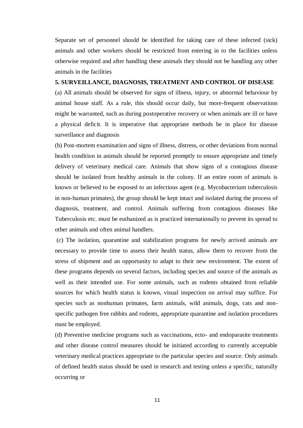Separate set of personnel should be identified for taking care of these infected (sick) animals and other workers should be restricted from entering in to the facilities unless otherwise required and after handling these animals they should not be handling any other animals in the facilities

# **5. SURVEILLANCE, DIAGNOSIS, TREATMENT AND CONTROL OF DISEASE**

(a) All animals should be observed for signs of illness, injury, or abnormal behaviour by animal house staff. As a rule, this should occur daily, but more-frequent observations might be warranted, such as during postoperative recovery or when animals are ill or have a physical deficit. It is imperative that appropriate methods be in place for disease surveillance and diagnosis

(b) Post-mortem examination and signs of illness, distress, or other deviations from normal health condition in animals should be reported promptly to ensure appropriate and timely delivery of veterinary medical care. Animals that show signs of a contagious disease should be isolated from healthy animals in the colony. If an entire room of animals is known or believed to be exposed to an infectious agent (e.g. Mycobacterium tuberculosis in non-human primates), the group should be kept intact and isolated during the process of diagnosis, treatment, and control. Animals suffering from contagious diseases like Tuberculosis etc. must be euthanized as is practiced internationally to prevent its spread to other animals and often animal handlers.

(c) The isolation, quarantine and stabilization programs for newly arrived animals are necessary to provide time to assess their health status, allow them to recover from the stress of shipment and an opportunity to adapt to their new environment. The extent of these programs depends on several factors, including species and source of the animals as well as their intended use. For some animals, such as rodents obtained from reliable sources for which health status is known, visual inspection on arrival may suffice. For species such as nonhuman primates, farm animals, wild animals, dogs, cats and nonspecific pathogen free rabbits and rodents, appropriate quarantine and isolation procedures must be employed.

(d) Preventive medicine programs such as vaccinations, ecto- and endoparasite treatments and other disease control measures should be initiated according to currently acceptable veterinary medical practices appropriate to the particular species and source. Only animals of defined health status should be used in research and testing unless a specific, naturally occurring or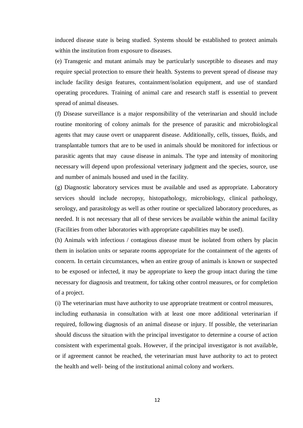induced disease state is being studied. Systems should be established to protect animals within the institution from exposure to diseases.

(e) Transgenic and mutant animals may be particularly susceptible to diseases and may require special protection to ensure their health. Systems to prevent spread of disease may include facility design features, containment/isolation equipment, and use of standard operating procedures. Training of animal care and research staff is essential to prevent spread of animal diseases.

(f) Disease surveillance is a major responsibility of the veterinarian and should include routine monitoring of colony animals for the presence of parasitic and microbiological agents that may cause overt or unapparent disease. Additionally, cells, tissues, fluids, and transplantable tumors that are to be used in animals should be monitored for infectious or parasitic agents that may cause disease in animals. The type and intensity of monitoring necessary will depend upon professional veterinary judgment and the species, source, use and number of animals housed and used in the facility.

(g) Diagnostic laboratory services must be available and used as appropriate. Laboratory services should include necropsy, histopathology, microbiology, clinical pathology, serology, and parasitology as well as other routine or specialized laboratory procedures, as needed. It is not necessary that all of these services be available within the animal facility (Facilities from other laboratories with appropriate capabilities may be used).

(h) Animals with infectious / contagious disease must be isolated from others by placin them in isolation units or separate rooms appropriate for the containment of the agents of concern. In certain circumstances, when an entire group of animals is known or suspected to be exposed or infected, it may be appropriate to keep the group intact during the time necessary for diagnosis and treatment, for taking other control measures, or for completion of a project.

(i) The veterinarian must have authority to use appropriate treatment or control measures,

including euthanasia in consultation with at least one more additional veterinarian if required, following diagnosis of an animal disease or injury. If possible, the veterinarian should discuss the situation with the principal investigator to determine a course of action consistent with experimental goals. However, if the principal investigator is not available, or if agreement cannot be reached, the veterinarian must have authority to act to protect the health and well- being of the institutional animal colony and workers.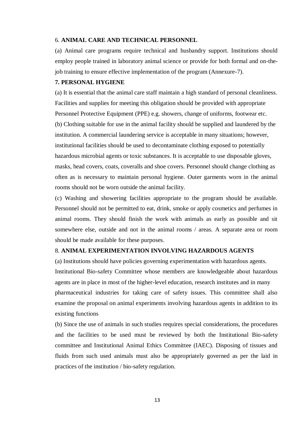#### 6. **ANIMAL CARE AND TECHNICAL PERSONNEL**

(a) Animal care programs require technical and husbandry support. Institutions should employ people trained in laboratory animal science or provide for both formal and on-thejob training to ensure effective implementation of the program (Annexure-7).

# **7. PERSONAL HYGIENE**

(a) It is essential that the animal care staff maintain a high standard of personal cleanliness. Facilities and supplies for meeting this obligation should be provided with appropriate Personnel Protective Equipment (PPE) e.g. showers, change of uniforms, footwear etc. (b) Clothing suitable for use in the animal facility should be supplied and laundered by the institution. A commercial laundering service is acceptable in many situations; however, institutional facilities should be used to decontaminate clothing exposed to potentially hazardous microbial agents or toxic substances. It is acceptable to use disposable gloves, masks, head covers, coats, coveralls and shoe covers. Personnel should change clothing as often as is necessary to maintain personal hygiene. Outer garments worn in the animal rooms should not be worn outside the animal facility.

(c) Washing and showering facilities appropriate to the program should be available. Personnel should not be permitted to eat, drink, smoke or apply cosmetics and perfumes in animal rooms. They should finish the work with animals as early as possible and sit somewhere else, outside and not in the animal rooms / areas. A separate area or room should be made available for these purposes.

# 8. **ANIMAL EXPERIMENTATION INVOLVING HAZARDOUS AGENTS**

(a) Institutions should have policies governing experimentation with hazardous agents. Institutional Bio-safety Committee whose members are knowledgeable about hazardous agents are in place in most of the higher-level education, research institutes and in many pharmaceutical industries for taking care of safety issues. This committee shall also examine the proposal on animal experiments involving hazardous agents in addition to its existing functions

(b) Since the use of animals in such studies requires special considerations, the procedures and the facilities to be used must be reviewed by both the Institutional Bio-safety committee and Institutional Animal Ethics Committee (IAEC). Disposing of tissues and fluids from such used animals must also be appropriately governed as per the laid in practices of the institution / bio-safety regulation.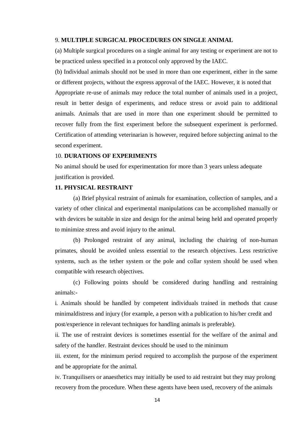#### 9. **MULTIPLE SURGICAL PROCEDURES ON SINGLE ANIMAL**

(a) Multiple surgical procedures on a single animal for any testing or experiment are not to be practiced unless specified in a protocol only approved by the IAEC.

(b) Individual animals should not be used in more than one experiment, either in the same or different projects, without the express approval of the IAEC. However, it is noted that Appropriate re-use of animals may reduce the total number of animals used in a project, result in better design of experiments, and reduce stress or avoid pain to additional animals. Animals that are used in more than one experiment should be permitted to recover fully from the first experiment before the subsequent experiment is performed. Certification of attending veterinarian is however, required before subjecting animal to the second experiment.

#### 10. **DURATIONS OF EXPERIMENTS**

No animal should be used for experimentation for more than 3 years unless adequate justification is provided.

# **11. PHYSICAL RESTRAINT**

(a) Brief physical restraint of animals for examination, collection of samples, and a variety of other clinical and experimental manipulations can be accomplished manually or with devices be suitable in size and design for the animal being held and operated properly to minimize stress and avoid injury to the animal.

(b) Prolonged restraint of any animal, including the chairing of non-human primates, should be avoided unless essential to the research objectives. Less restrictive systems, such as the tether system or the pole and collar system should be used when compatible with research objectives.

(c) Following points should be considered during handling and restraining animals:-

i. Animals should be handled by competent individuals trained in methods that cause minimaldistress and injury (for example, a person with a publication to his/her credit and post/experience in relevant techniques for handling animals is preferable).

ii. The use of restraint devices is sometimes essential for the welfare of the animal and safety of the handler. Restraint devices should be used to the minimum

iii. extent, for the minimum period required to accomplish the purpose of the experiment and be appropriate for the animal.

iv. Tranquilisers or anaesthetics may initially be used to aid restraint but they may prolong recovery from the procedure. When these agents have been used, recovery of the animals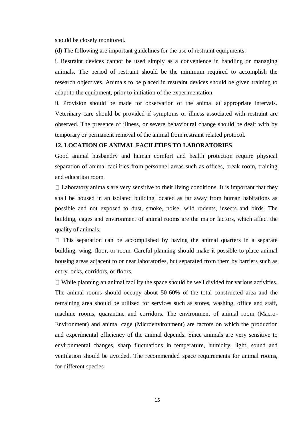should be closely monitored.

(d) The following are important guidelines for the use of restraint equipments:

i. Restraint devices cannot be used simply as a convenience in handling or managing animals. The period of restraint should be the minimum required to accomplish the research objectives. Animals to be placed in restraint devices should be given training to adapt to the equipment, prior to initiation of the experimentation.

ii. Provision should be made for observation of the animal at appropriate intervals. Veterinary care should be provided if symptoms or illness associated with restraint are observed. The presence of illness, or severe behavioural change should be dealt with by temporary or permanent removal of the animal from restraint related protocol.

#### **12. LOCATION OF ANIMAL FACILITIES TO LABORATORIES**

Good animal husbandry and human comfort and health protection require physical separation of animal facilities from personnel areas such as offices, break room, training and education room.

 $\Box$  Laboratory animals are very sensitive to their living conditions. It is important that they shall be housed in an isolated building located as far away from human habitations as possible and not exposed to dust, smoke, noise, wild rodents, insects and birds. The building, cages and environment of animal rooms are the major factors, which affect the quality of animals.

 $\Box$  This separation can be accomplished by having the animal quarters in a separate building, wing, floor, or room. Careful planning should make it possible to place animal housing areas adjacent to or near laboratories, but separated from them by barriers such as entry locks, corridors, or floors.

 $\Box$  While planning an animal facility the space should be well divided for various activities. The animal rooms should occupy about 50-60% of the total constructed area and the remaining area should be utilized for services such as stores, washing, office and staff, machine rooms, quarantine and corridors. The environment of animal room (Macro-Environment) and animal cage (Microenvironment) are factors on which the production and experimental efficiency of the animal depends. Since animals are very sensitive to environmental changes, sharp fluctuations in temperature, humidity, light, sound and ventilation should be avoided. The recommended space requirements for animal rooms, for different species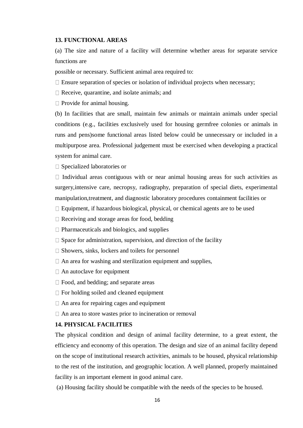#### **13. FUNCTIONAL AREAS**

(a) The size and nature of a facility will determine whether areas for separate service functions are

possible or necessary. Sufficient animal area required to:

 $\Box$  Ensure separation of species or isolation of individual projects when necessary;

 $\Box$  Receive, quarantine, and isolate animals; and

 $\Box$  Provide for animal housing.

(b) In facilities that are small, maintain few animals or maintain animals under special conditions (e.g., facilities exclusively used for housing germfree colonies or animals in runs and pens)some functional areas listed below could be unnecessary or included in a multipurpose area. Professional judgement must be exercised when developing a practical system for animal care.

□ Specialized laboratories or

 $\Box$  Individual areas contiguous with or near animal housing areas for such activities as surgery,intensive care, necropsy, radiography, preparation of special diets, experimental manipulation,treatment, and diagnostic laboratory procedures containment facilities or

 $\Box$  Equipment, if hazardous biological, physical, or chemical agents are to be used

 $\Box$  Receiving and storage areas for food, bedding

 $\Box$  Pharmaceuticals and biologics, and supplies

 $\Box$  Space for administration, supervision, and direction of the facility

 $\square$  Showers, sinks, lockers and toilets for personnel

 $\Box$  An area for washing and sterilization equipment and supplies,

- $\Box$  An autoclave for equipment
- □ Food, and bedding; and separate areas
- $\Box$  For holding soiled and cleaned equipment
- $\Box$  An area for repairing cages and equipment
- $\Box$  An area to store wastes prior to incineration or removal

### **14. PHYSICAL FACILITIES**

The physical condition and design of animal facility determine, to a great extent, the efficiency and economy of this operation. The design and size of an animal facility depend on the scope of institutional research activities, animals to be housed, physical relationship to the rest of the institution, and geographic location. A well planned, properly maintained facility is an important element in good animal care.

(a) Housing facility should be compatible with the needs of the species to be housed.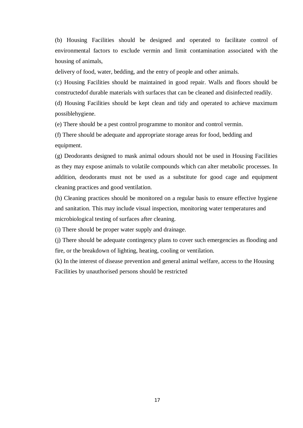(b) Housing Facilities should be designed and operated to facilitate control of environmental factors to exclude vermin and limit contamination associated with the housing of animals,

delivery of food, water, bedding, and the entry of people and other animals.

(c) Housing Facilities should be maintained in good repair. Walls and floors should be constructedof durable materials with surfaces that can be cleaned and disinfected readily.

(d) Housing Facilities should be kept clean and tidy and operated to achieve maximum possiblehygiene.

(e) There should be a pest control programme to monitor and control vermin.

(f) There should be adequate and appropriate storage areas for food, bedding and equipment.

(g) Deodorants designed to mask animal odours should not be used in Housing Facilities as they may expose animals to volatile compounds which can alter metabolic processes. In addition, deodorants must not be used as a substitute for good cage and equipment cleaning practices and good ventilation.

(h) Cleaning practices should be monitored on a regular basis to ensure effective hygiene and sanitation. This may include visual inspection, monitoring water temperatures and microbiological testing of surfaces after cleaning.

(i) There should be proper water supply and drainage.

(j) There should be adequate contingency plans to cover such emergencies as flooding and fire, or the breakdown of lighting, heating, cooling or ventilation.

(k) In the interest of disease prevention and general animal welfare, access to the Housing Facilities by unauthorised persons should be restricted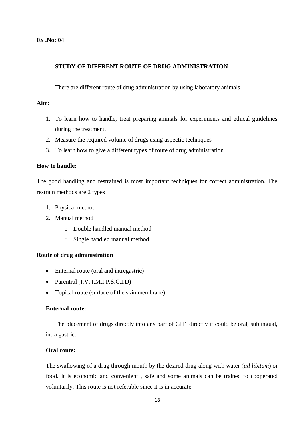# **STUDY OF DIFFRENT ROUTE OF DRUG ADMINISTRATION**

There are different route of drug administration by using laboratory animals

# **Aim:**

- 1. To learn how to handle, treat preparing animals for experiments and ethical guidelines during the treatment.
- 2. Measure the required volume of drugs using aspectic techniques
- 3. To learn how to give a different types of route of drug administration

# **How to handle:**

The good handling and restrained is most important techniques for correct administration. The restrain methods are 2 types

- 1. Physical method
- 2. Manual method
	- o Double handled manual method
	- o Single handled manual method

# **Route of drug administration**

- Enternal route (oral and intregastric)
- Parentral (I.V, I.M, I.P, S.C, I.D)
- Topical route (surface of the skin membrane)

# **Enternal route:**

The placement of drugs directly into any part of GIT directly it could be oral, sublingual, intra gastric.

# **Oral route:**

The swallowing of a drug through mouth by the desired drug along with water (*ad libitum*) or food. It is economic and convenient , safe and some animals can be trained to cooperated voluntarily. This route is not referable since it is in accurate.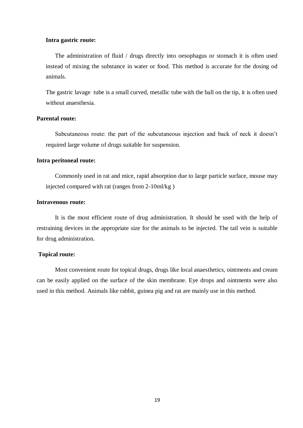#### **Intra gastric route:**

The administration of fluid / drugs directly into oesophagus or stomach it is often used instead of mixing the substance in water or food. This method is accurate for the dosing od animals.

The gastric lavage tube is a small curved, metallic tube with the ball on the tip, it is often used without anaesthesia.

#### **Parental route:**

Subcutaneous route: the part of the subcutaneous injection and back of neck it doesn't required large volume of drugs suitable for suspension.

#### **Intra peritoneal route:**

Commonly used in rat and mice, rapid absorption due to large particle surface, mouse may injected compared with rat (ranges from 2-10ml/kg )

#### **Intravenous route:**

It is the most efficient route of drug administration. It should be used with the help of restraining devices in the appropriate size for the animals to be injected. The tail vein is suitable for drug administration.

# **Topical route:**

Most convenient route for topical drugs, drugs like local anaesthetics, ointments and cream can be easily applied on the surface of the skin membrane. Eye drops and ointments were also used in this method. Animals like rabbit, guinea pig and rat are mainly use in this method.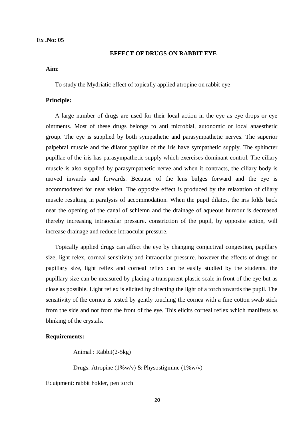# **EFFECT OF DRUGS ON RABBIT EYE**

#### **Aim**:

To study the Mydriatic effect of topically applied atropine on rabbit eye

#### **Principle:**

A large number of drugs are used for their local action in the eye as eye drops or eye ointments. Most of these drugs belongs to anti microbial, autonomic or local anaesthetic group. The eye is supplied by both sympathetic and parasympathetic nerves. The superior palpebral muscle and the dilator papillae of the iris have sympathetic supply. The sphincter pupillae of the iris has parasympathetic supply which exercises dominant control. The ciliary muscle is also supplied by parasympathetic nerve and when it contracts, the ciliary body is moved inwards and forwards. Because of the lens bulges forward and the eye is accommodated for near vision. The opposite effect is produced by the relaxation of ciliary muscle resulting in paralysis of accommodation. When the pupil dilates, the iris folds back near the opening of the canal of schlemn and the drainage of aqueous humour is decreased thereby increasing intraocular pressure. constriction of the pupil, by opposite action, will increase drainage and reduce intraocular pressure.

Topically applied drugs can affect the eye by changing conjuctival congestion, papillary size, light relex, corneal sensitivity and intraocular pressure. however the effects of drugs on papillary size, light reflex and corneal reflex can be easily studied by the students. the pupillary size can be measured by placing a transparent plastic scale in front of the eye but as close as possible. Light reflex is elicited by directing the light of a torch towards the pupil. The sensitivity of the cornea is tested by gently touching the cornea with a fine cotton swab stick from the side and not from the front of the eye. This elicits corneal reflex which manifests as blinking of the crystals.

#### **Requirements:**

Animal : Rabbit(2-5kg)

Drugs: Atropine (1%w/v) & Physostigmine (1%w/v)

Equipment: rabbit holder, pen torch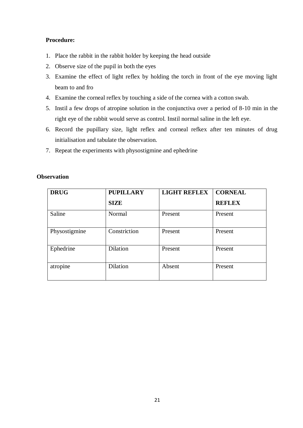# **Procedure:**

- 1. Place the rabbit in the rabbit holder by keeping the head outside
- 2. Observe size of the pupil in both the eyes
- 3. Examine the effect of light reflex by holding the torch in front of the eye moving light beam to and fro
- 4. Examine the corneal reflex by touching a side of the cornea with a cotton swab.
- 5. Instil a few drops of atropine solution in the conjunctiva over a period of 8-10 min in the right eye of the rabbit would serve as control. Instil normal saline in the left eye.
- 6. Record the pupillary size, light reflex and corneal refkex after ten minutes of drug initialisation and tabulate the observation.
- 7. Repeat the experiments with physostigmine and ephedrine

| <b>DRUG</b>   | <b>PUPILLARY</b> | <b>LIGHT REFLEX</b> | <b>CORNEAL</b> |
|---------------|------------------|---------------------|----------------|
|               | <b>SIZE</b>      |                     | <b>REFLEX</b>  |
| Saline        | Normal           | Present             | Present        |
| Physostigmine | Constriction     | Present             | Present        |
| Ephedrine     | <b>Dilation</b>  | Present             | Present        |
| atropine      | Dilation         | Absent              | Present        |

# **Observation**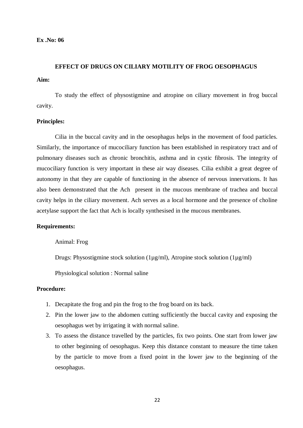# **EFFECT OF DRUGS ON CILIARY MOTILITY OF FROG OESOPHAGUS**

**Aim:** 

To study the effect of physostigmine and atropine on ciliary movement in frog buccal cavity.

# **Principles:**

Cilia in the buccal cavity and in the oesophagus helps in the movement of food particles. Similarly, the importance of mucociliary function has been established in respiratory tract and of pulmonary diseases such as chronic bronchitis, asthma and in cystic fibrosis. The integrity of mucociliary function is very important in these air way diseases. Cilia exhibit a great degree of autonomy in that they are capable of functioning in the absence of nervous innervations. It has also been demonstrated that the Ach present in the mucous membrane of trachea and buccal cavity helps in the ciliary movement. Ach serves as a local hormone and the presence of choline acetylase support the fact that Ach is locally synthesised in the mucous membranes.

# **Requirements:**

Animal: Frog

Drugs: Physostigmine stock solution (1µg/ml), Atropine stock solution (1µg/ml)

Physiological solution : Normal saline

# **Procedure:**

- 1. Decapitate the frog and pin the frog to the frog board on its back.
- 2. Pin the lower jaw to the abdomen cutting sufficiently the buccal cavity and exposing the oesophagus wet by irrigating it with normal saline.
- 3. To assess the distance travelled by the particles, fix two points. One start from lower jaw to other beginning of oesophagus. Keep this distance constant to measure the time taken by the particle to move from a fixed point in the lower jaw to the beginning of the oesophagus.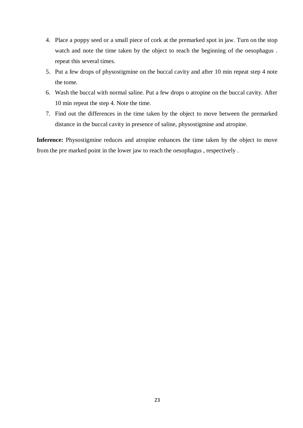- 4. Place a poppy seed or a small piece of cork at the premarked spot in jaw. Turn on the stop watch and note the time taken by the object to reach the beginning of the oesophagus . repeat this several times.
- 5. Put a few drops of physostigmine on the buccal cavity and after 10 min repeat step 4 note the tome.
- 6. Wash the buccal with normal saline. Put a few drops o atropine on the buccal cavity. After 10 min repeat the step 4. Note the time.
- 7. Find out the differences in the time taken by the object to move between the premarked distance in the buccal cavity in presence of saline, physostigmine and atropine.

**Inference:** Physostigmine reduces and atropine enhances the time taken by the object to move from the pre marked point in the lower jaw to reach the oesophagus , respectively .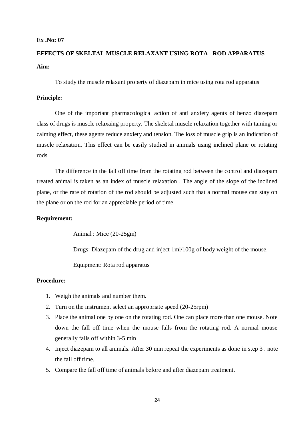# **EFFECTS OF SKELTAL MUSCLE RELAXANT USING ROTA –ROD APPARATUS Aim:**

To study the muscle relaxant property of diazepam in mice using rota rod apparatus

# **Principle:**

One of the important pharmacological action of anti anxiety agents of benzo diazepam class of drugs is muscle relaxaing property. The skeletal muscle relaxation together with taming or calming effect, these agents reduce anxiety and tension. The loss of muscle grip is an indication of muscle relaxation. This effect can be easily studied in animals using inclined plane or rotating rods.

The difference in the fall off time from the rotating rod between the control and diazepam treated animal is taken as an index of muscle relaxation . The angle of the slope of the inclined plane, or the rate of rotation of the rod should be adjusted such that a normal mouse can stay on the plane or on the rod for an appreciable period of time.

#### **Requirement:**

Animal : Mice (20-25gm)

Drugs: Diazepam of the drug and inject 1ml/100g of body weight of the mouse.

Equipment: Rota rod apparatus

# **Procedure:**

- 1. Weigh the animals and number them.
- 2. Turn on the instrument select an appropriate speed (20-25rpm)
- 3. Place the animal one by one on the rotating rod. One can place more than one mouse. Note down the fall off time when the mouse falls from the rotating rod. A normal mouse generally falls off within 3-5 min
- 4. Inject diazepam to all animals. After 30 min repeat the experiments as done in step 3 . note the fall off time.
- 5. Compare the fall off time of animals before and after diazepam treatment.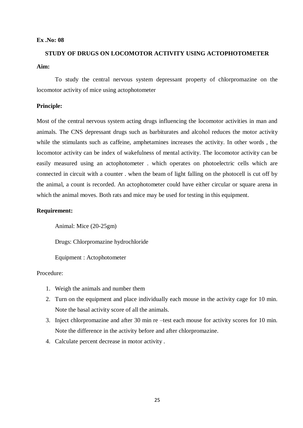# **STUDY OF DRUGS ON LOCOMOTOR ACTIVITY USING ACTOPHOTOMETER Aim:**

To study the central nervous system depressant property of chlorpromazine on the locomotor activity of mice using actophotometer

#### **Principle:**

Most of the central nervous system acting drugs influencing the locomotor activities in man and animals. The CNS depressant drugs such as barbiturates and alcohol reduces the motor activity while the stimulants such as caffeine, amphetamines increases the activity. In other words , the locomotor activity can be index of wakefulness of mental activity. The locomotor activity can be easily measured using an actophotometer . which operates on photoelectric cells which are connected in circuit with a counter . when the beam of light falling on the photocell is cut off by the animal, a count is recorded. An actophotometer could have either circular or square arena in which the animal moves. Both rats and mice may be used for testing in this equipment.

# **Requirement:**

Animal: Mice (20-25gm)

Drugs: Chlorpromazine hydrochloride

Equipment : Actophotometer

# Procedure:

- 1. Weigh the animals and number them
- 2. Turn on the equipment and place individually each mouse in the activity cage for 10 min. Note the basal activity score of all the animals.
- 3. Inject chlorpromazine and after 30 min re –test each mouse for activity scores for 10 min. Note the difference in the activity before and after chlorpromazine.
- 4. Calculate percent decrease in motor activity .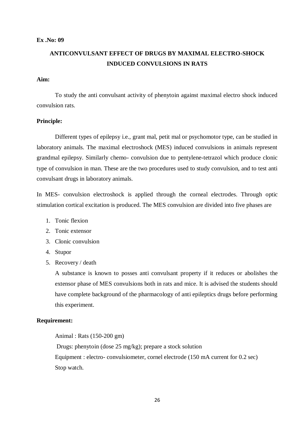# **ANTICONVULSANT EFFECT OF DRUGS BY MAXIMAL ELECTRO-SHOCK INDUCED CONVULSIONS IN RATS**

# **Aim:**

To study the anti convulsant activity of phenytoin against maximal electro shock induced convulsion rats.

#### **Principle:**

Different types of epilepsy i.e., grant mal, petit mal or psychomotor type, can be studied in laboratory animals. The maximal electroshock (MES) induced convulsions in animals represent grandmal epilepsy. Similarly chemo- convulsion due to pentylene-tetrazol which produce clonic type of convulsion in man. These are the two procedures used to study convulsion, and to test anti convulsant drugs in laboratory animals.

In MES- convulsion electroshock is applied through the corneal electrodes. Through optic stimulation cortical excitation is produced. The MES convulsion are divided into five phases are

- 1. Tonic flexion
- 2. Tonic extensor
- 3. Clonic convulsion
- 4. Stupor
- 5. Recovery / death

A substance is known to posses anti convulsant property if it reduces or abolishes the extensor phase of MES convulsions both in rats and mice. It is advised the students should have complete background of the pharmacology of anti epileptics drugs before performing this experiment.

## **Requirement:**

Animal : Rats (150-200 gm)

Drugs: phenytoin (dose 25 mg/kg); prepare a stock solution Equipment : electro- convulsiometer, cornel electrode (150 mA current for 0.2 sec) Stop watch.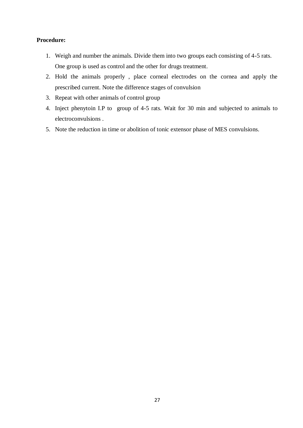# **Procedure:**

- 1. Weigh and number the animals. Divide them into two groups each consisting of 4-5 rats. One group is used as control and the other for drugs treatment.
- 2. Hold the animals properly , place corneal electrodes on the cornea and apply the prescribed current. Note the difference stages of convulsion
- 3. Repeat with other animals of control group
- 4. Inject phenytoin I.P to group of 4-5 rats. Wait for 30 min and subjected to animals to electroconvulsions .
- 5. Note the reduction in time or abolition of tonic extensor phase of MES convulsions.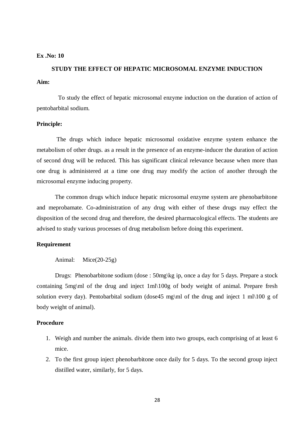# **STUDY THE EFFECT OF HEPATIC MICROSOMAL ENZYME INDUCTION Aim:**

 To study the effect of hepatic microsomal enzyme induction on the duration of action of pentobarbital sodium.

# **Principle:**

The drugs which induce hepatic microsomal oxidative enzyme system enhance the metabolism of other drugs. as a result in the presence of an enzyme-inducer the duration of action of second drug will be reduced. This has significant clinical relevance because when more than one drug is administered at a time one drug may modify the action of another through the microsomal enzyme inducing property.

The common drugs which induce hepatic microsomal enzyme system are phenobarbitone and meprobamate. Co-administration of any drug with either of these drugs may effect the disposition of the second drug and therefore, the desired pharmacological effects. The students are advised to study various processes of drug metabolism before doing this experiment.

### **Requirement**

Animal: Mice(20-25g)

Drugs: Phenobarbitone sodium (dose : 50mg\kg ip, once a day for 5 days. Prepare a stock containing 5mg\ml of the drug and inject 1ml\100g of body weight of animal. Prepare fresh solution every day). Pentobarbital sodium (dose 45 mg\ml of the drug and inject 1 ml\100 g of body weight of animal).

# **Procedure**

- 1. Weigh and number the animals. divide them into two groups, each comprising of at least 6 mice.
- 2. To the first group inject phenobarbitone once daily for 5 days. To the second group inject distilled water, similarly, for 5 days.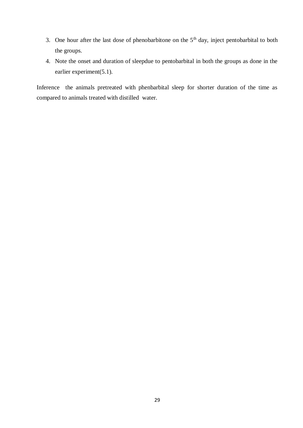- 3. One hour after the last dose of phenobarbitone on the  $5<sup>th</sup>$  day, inject pentobarbital to both the groups.
- 4. Note the onset and duration of sleepdue to pentobarbital in both the groups as done in the earlier experiment(5.1).

Inference the animals pretreated with phenbarbital sleep for shorter duration of the time as compared to animals treated with distilled water.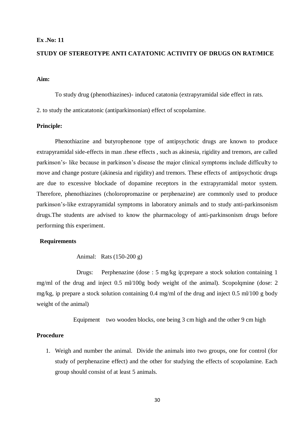# **STUDY OF STEREOTYPE ANTI CATATONIC ACTIVITY OF DRUGS ON RAT/MICE**

#### **Aim:**

To study drug (phenothiazines)- induced catatonia (extrapyramidal side effect in rats.

2. to study the anticatatonic (antiparkinsonian) effect of scopolamine.

# **Principle:**

Phenothiazine and butyrophenone type of antipsychotic drugs are known to produce extrapyramidal side-effects in man .these effects , such as akinesia, rigidity and tremors, are called parkinson's- like because in parkinson's disease the major clinical symptoms include difficulty to move and change posture (akinesia and rigidity) and tremors. These effects of antipsychotic drugs are due to excessive blockade of dopamine receptors in the extrapyramidal motor system. Therefore, phenothiazines (choloropromazine or perphenazine) are commonly used to produce parkinson's-like extrapyramidal symptoms in laboratory animals and to study anti-parkinsonism drugs.The students are advised to know the pharmacology of anti-parkinsonism drugs before performing this experiment.

#### **Requirements**

Animal: Rats (150-200 g)

Drugs: Perphenazine (dose : 5 mg/kg ip;prepare a stock solution containing 1 mg/ml of the drug and inject 0.5 ml/100g body weight of the animal). Scopolqmine (dose: 2 mg/kg, ip prepare a stock solution containing 0.4 mg/ml of the drug and inject 0.5 ml/100 g body weight of the animal)

Equipment two wooden blocks, one being 3 cm high and the other 9 cm high

#### **Procedure**

1. Weigh and number the animal. Divide the animals into two groups, one for control (for study of perphenazine effect) and the other for studying the effects of scopolamine. Each group should consist of at least 5 animals.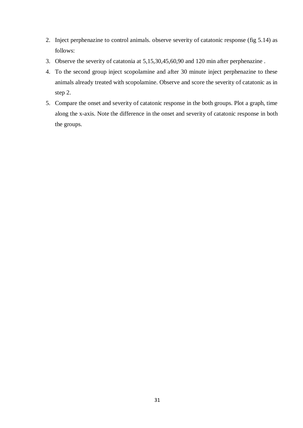- 2. Inject perphenazine to control animals. observe severity of catatonic response (fig 5.14) as follows:
- 3. Observe the severity of catatonia at 5,15,30,45,60,90 and 120 min after perphenazine .
- 4. To the second group inject scopolamine and after 30 minute inject perphenazine to these animals already treated with scopolamine. Observe and score the severity of catatonic as in step 2.
- 5. Compare the onset and severity of catatonic response in the both groups. Plot a graph, time along the x-axis. Note the difference in the onset and severity of catatonic response in both the groups.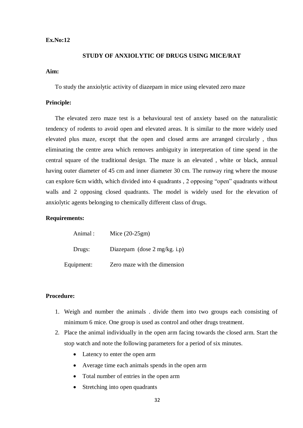#### **STUDY OF ANXIOLYTIC OF DRUGS USING MICE/RAT**

#### **Aim:**

To study the anxiolytic activity of diazepam in mice using elevated zero maze

# **Principle:**

The elevated zero maze test is a behavioural test of anxiety based on the naturalistic tendency of rodents to avoid open and elevated areas. It is similar to the more widely used elevated plus maze, except that the open and closed arms are arranged circularly , thus eliminating the centre area which removes ambiguity in interpretation of time spend in the central square of the traditional design. The maze is an elevated , white or black, annual having outer diameter of 45 cm and inner diameter 30 cm. The runway ring where the mouse can explore 6cm width, which divided into 4 quadrants , 2 opposing "open" quadrants without walls and 2 opposing closed quadrants. The model is widely used for the elevation of anxiolytic agents belonging to chemically different class of drugs.

#### **Requirements:**

| Animal:    | Mice $(20-25gm)$                        |
|------------|-----------------------------------------|
| Drugs:     | Diazepam (dose $2 \text{ mg/kg}$ . i.p) |
| Equipment: | Zero maze with the dimension            |

# **Procedure:**

- 1. Weigh and number the animals . divide them into two groups each consisting of minimum 6 mice. One group is used as control and other drugs treatment.
- 2. Place the animal individually in the open arm facing towards the closed arm. Start the stop watch and note the following parameters for a period of six minutes.
	- Latency to enter the open arm
	- Average time each animals spends in the open arm
	- Total number of entries in the open arm
	- Stretching into open quadrants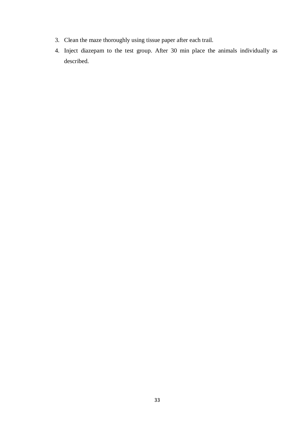- 3. Clean the maze thoroughly using tissue paper after each trail.
- 4. Inject diazepam to the test group. After 30 min place the animals individually as described.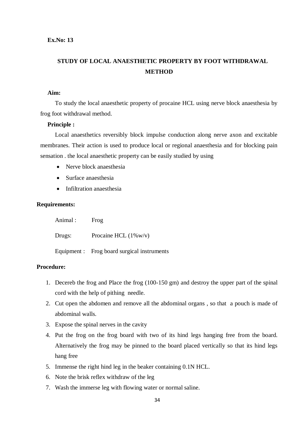# **STUDY OF LOCAL ANAESTHETIC PROPERTY BY FOOT WITHDRAWAL METHOD**

#### **Aim:**

To study the local anaesthetic property of procaine HCL using nerve block anaesthesia by frog foot withdrawal method.

## **Principle :**

Local anaesthetics reversibly block impulse conduction along nerve axon and excitable membranes. Their action is used to produce local or regional anaesthesia and for blocking pain sensation . the local anaesthetic property can be easily studied by using

- Nerve block anaesthesia
- Surface anaesthesia
- Infiltration anaesthesia

# **Requirements:**

| Animal : | Frog                                        |
|----------|---------------------------------------------|
| Drugs:   | Procaine HCL $(1\% w/v)$                    |
|          | Equipment : Frog board surgical instruments |

# **Procedure:**

- 1. Decereb the frog and Place the frog (100-150 gm) and destroy the upper part of the spinal cord with the help of pithing needle.
- 2. Cut open the abdomen and remove all the abdominal organs , so that a pouch is made of abdominal walls.
- 3. Expose the spinal nerves in the cavity
- 4. Put the frog on the frog board with two of its hind legs hanging free from the board. Alternatively the frog may be pinned to the board placed vertically so that its hind legs hang free
- 5. Immense the right hind leg in the beaker containing 0.1N HCL.
- 6. Note the brisk reflex withdraw of the leg
- 7. Wash the immerse leg with flowing water or normal saline.